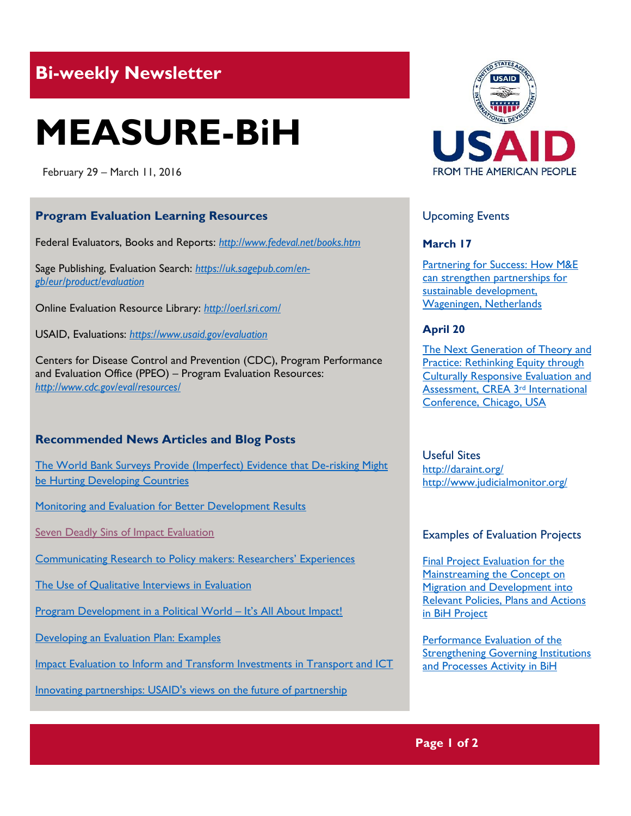## **Bi-weekly Newsletter**

# **MEASURE-BiH**

February 29 – March 11, 2016

#### **Program Evaluation Learning Resources**

Federal Evaluators, Books and Reports: *http://www.fedeval.net/books.htm*

Sage Publishing, Evaluation Search: *https://uk.sagepub.com/engb/eur/product/evaluation*

Online Evaluation Resource Library: *http://oerl.sri.com/*

USAID, Evaluations: *https://www.usaid.gov/evaluation* 

Centers for Disease Control and Prevention (CDC), Program Performance and Evaluation Office (PPEO) – Program Evaluation Resources: *<http://www.cdc.gov/eval/resources/>*

#### **Recommended News Articles and Blog Posts**

[The World Bank Surveys Provide \(Imperfect\) Evidence that De-risking Might](http://www.cgdev.org/blog/two-world-bank-surveys-provide-imperfect-evidence-de-risking-might-be-hurting-developing)  [be Hurting Developing Countries](http://www.cgdev.org/blog/two-world-bank-surveys-provide-imperfect-evidence-de-risking-might-be-hurting-developing)

[Monitoring and Evaluation for Better Development Results](http://www.worldbank.org/en/news/feature/2013/02/14/monitoring-and-evaluation-for-better-development-results)

[Seven Deadly Sins of Impact Evaluation](http://ssir.org/articles/entry/seven_deadly_sins_of_impact_evaluation)

[Communicating Research to Policy makers: Researchers' Experiences](http://poppov.org/~/media/PopPov/Documents/briefs/poppov-communicating-research-brief.ashx)

[The Use of Qualitative Interviews in Evaluation](http://cals.arizona.edu/sfcs/cyfernet/cyfar/Intervu5.htm)

[Program Development in a Political World](http://www.joe.org/joe/2003february/a6.php) - It's All About Impact!

[Developing an Evaluation Plan: Examples](http://ctb.ku.edu/en/table-of-contents/evaluate/evaluation/evaluation-plan/examples)

[Impact Evaluation to Inform and Transform Investments in Transport and ICT](https://openknowledge.worldbank.org/bitstream/handle/10986/22295/Impact0evaluat0in0transport0and0ICT.pdf?sequence=1&isAllowed=y)

[Innovating partnerships: USAID's views on the future of partnership](https://www.devex.com/news/innovating-partnerships-usaid-s-views-on-the-future-of-partnership-87842?utm_source=newsletter&utm_medium=dev_insider&utm_campaign=nonpaywalled_content&mkt_tok=3RkMMJWWfF9wsRoksqjJd%2B%2FhmjTEU5z17O8oXa%2Bg38431UFwdcjKPmjr1YEARMZqI%2BSLDwEYGJlv6SgFTLjAMati1rgKXRQ%3D)



#### Upcoming Events

#### **March 17**

[Partnering for Success: How M&E](http://mande.co.uk/conferences/?event_id1=23)  [can strengthen partnerships for](http://mande.co.uk/conferences/?event_id1=23)  [sustainable development,](http://mande.co.uk/conferences/?event_id1=23)  [Wageningen, Netherlands](http://mande.co.uk/conferences/?event_id1=23)

#### **April 20**

[The Next Generation of Theory and](http://mande.co.uk/conferences/?event_id1=18)  **Practice: Rethinking Equity through** [Culturally Responsive Evaluation and](http://mande.co.uk/conferences/?event_id1=18)  [Assessment, CREA 3](http://mande.co.uk/conferences/?event_id1=18)rd International [Conference, Chicago, USA](http://mande.co.uk/conferences/?event_id1=18)

### Useful Sites

<http://daraint.org/> <http://www.judicialmonitor.org/>

#### Examples of Evaluation Projects

**Final Project Evaluation for the** [Mainstreaming the Concept on](http://erc.undp.org/evaluation/evaluations/detail/7819)  Migration [and Development into](http://erc.undp.org/evaluation/evaluations/detail/7819)  [Relevant Policies, Plans and Actions](http://erc.undp.org/evaluation/evaluations/detail/7819)  [in BiH Project](http://erc.undp.org/evaluation/evaluations/detail/7819)

[Performance Evaluation of the](https://goo.gl/UuYlsn)  [Strengthening Governing Institutions](https://goo.gl/UuYlsn)  [and Processes Activity in BiH](https://goo.gl/UuYlsn)